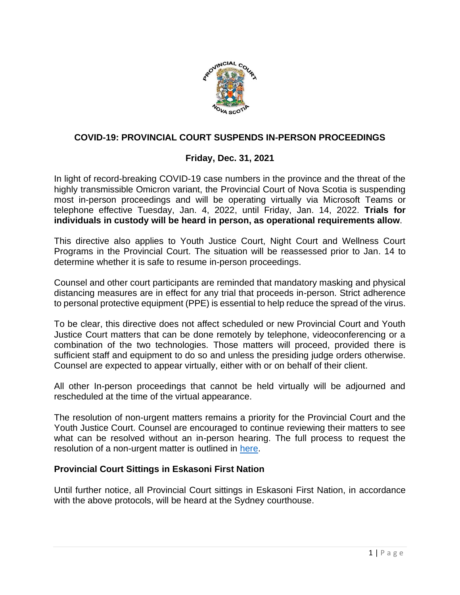

# **COVID-19: PROVINCIAL COURT SUSPENDS IN-PERSON PROCEEDINGS**

# **Friday, Dec. 31, 2021**

In light of record-breaking COVID-19 case numbers in the province and the threat of the highly transmissible Omicron variant, the Provincial Court of Nova Scotia is suspending most in-person proceedings and will be operating virtually via Microsoft Teams or telephone effective Tuesday, Jan. 4, 2022, until Friday, Jan. 14, 2022. **Trials for individuals in custody will be heard in person, as operational requirements allow**.

This directive also applies to Youth Justice Court, Night Court and Wellness Court Programs in the Provincial Court. The situation will be reassessed prior to Jan. 14 to determine whether it is safe to resume in-person proceedings.

Counsel and other court participants are reminded that mandatory masking and physical distancing measures are in effect for any trial that proceeds in-person. Strict adherence to personal protective equipment (PPE) is essential to help reduce the spread of the virus.

To be clear, this directive does not affect scheduled or new Provincial Court and Youth Justice Court matters that can be done remotely by telephone, videoconferencing or a combination of the two technologies. Those matters will proceed, provided there is sufficient staff and equipment to do so and unless the presiding judge orders otherwise. Counsel are expected to appear virtually, either with or on behalf of their client.

All other In-person proceedings that cannot be held virtually will be adjourned and rescheduled at the time of the virtual appearance.

The resolution of non-urgent matters remains a priority for the Provincial Court and the Youth Justice Court. Counsel are encouraged to continue reviewing their matters to see what can be resolved without an in-person hearing. The full process to request the resolution of a non-urgent matter is outlined in [here.](https://www.courts.ns.ca/News_of_Courts/documents/NSPC_Resolution_of_Non_Urgent_Matters_NR_04_09_20.pdf)

# **Provincial Court Sittings in Eskasoni First Nation**

Until further notice, all Provincial Court sittings in Eskasoni First Nation, in accordance with the above protocols, will be heard at the Sydney courthouse.